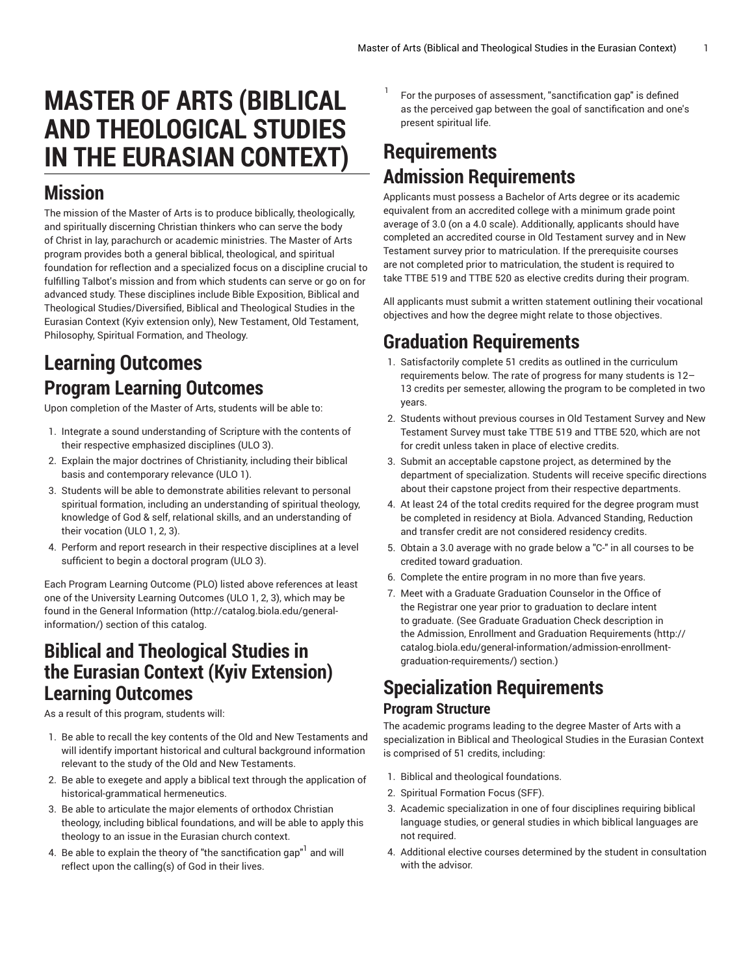# **MASTER OF ARTS (BIBLICAL AND THEOLOGICAL STUDIES IN THE EURASIAN CONTEXT)**

## **Mission**

The mission of the Master of Arts is to produce biblically, theologically, and spiritually discerning Christian thinkers who can serve the body of Christ in lay, parachurch or academic ministries. The Master of Arts program provides both a general biblical, theological, and spiritual foundation for reflection and a specialized focus on a discipline crucial to fulfilling Talbot's mission and from which students can serve or go on for advanced study. These disciplines include Bible Exposition, Biblical and Theological Studies/Diversified, Biblical and Theological Studies in the Eurasian Context (Kyiv extension only), New Testament, Old Testament, Philosophy, Spiritual Formation, and Theology.

# **Learning Outcomes Program Learning Outcomes**

Upon completion of the Master of Arts, students will be able to:

- 1. Integrate a sound understanding of Scripture with the contents of their respective emphasized disciplines (ULO 3).
- 2. Explain the major doctrines of Christianity, including their biblical basis and contemporary relevance (ULO 1).
- 3. Students will be able to demonstrate abilities relevant to personal spiritual formation, including an understanding of spiritual theology, knowledge of God & self, relational skills, and an understanding of their vocation (ULO 1, 2, 3).
- 4. Perform and report research in their respective disciplines at a level sufficient to begin a doctoral program (ULO 3).

Each Program Learning Outcome (PLO) listed above references at least one of the University Learning Outcomes (ULO 1, 2, 3), which may be found in the [General Information \(http://catalog.biola.edu/general](http://catalog.biola.edu/general-information/)[information/](http://catalog.biola.edu/general-information/)) section of this catalog.

#### **Biblical and Theological Studies in the Eurasian Context (Kyiv Extension) Learning Outcomes**

As a result of this program, students will:

- 1. Be able to recall the key contents of the Old and New Testaments and will identify important historical and cultural background information relevant to the study of the Old and New Testaments.
- 2. Be able to exegete and apply a biblical text through the application of historical-grammatical hermeneutics.
- 3. Be able to articulate the major elements of orthodox Christian theology, including biblical foundations, and will be able to apply this theology to an issue in the Eurasian church context.
- 4. Be able to explain the theory of "the sanctification gap" $^{\rm l}$  and will reflect upon the calling(s) of God in their lives.

For the purposes of assessment, "sanctification gap" is defined as the perceived gap between the goal of sanctification and one's present spiritual life.

# **Requirements Admission Requirements**

1

Applicants must possess a Bachelor of Arts degree or its academic equivalent from an accredited college with a minimum grade point average of 3.0 (on a 4.0 scale). Additionally, applicants should have completed an accredited course in Old Testament survey and in New Testament survey prior to matriculation. If the prerequisite courses are not completed prior to matriculation, the student is required to take TTBE 519 and TTBE 520 as elective credits during their program.

All applicants must submit a written statement outlining their vocational objectives and how the degree might relate to those objectives.

# **Graduation Requirements**

- 1. Satisfactorily complete 51 credits as outlined in the curriculum requirements below. The rate of progress for many students is 12– 13 credits per semester, allowing the program to be completed in two years.
- 2. Students without previous courses in Old Testament Survey and New Testament Survey must take TTBE 519 and TTBE 520, which are not for credit unless taken in place of elective credits.
- 3. Submit an acceptable capstone project, as determined by the department of specialization. Students will receive specific directions about their capstone project from their respective departments.
- 4. At least 24 of the total credits required for the degree program must be completed in residency at Biola. Advanced Standing, Reduction and transfer credit are not considered residency credits.
- 5. Obtain a 3.0 average with no grade below a "C-" in all courses to be credited toward graduation.
- 6. Complete the entire program in no more than five years.
- 7. Meet with a Graduate Graduation Counselor in the Office of the Registrar one year prior to graduation to declare intent to graduate. (See Graduate Graduation Check description in the Admission, Enrollment and Graduation [Requirements](http://catalog.biola.edu/general-information/admission-enrollment-graduation-requirements/) ([http://](http://catalog.biola.edu/general-information/admission-enrollment-graduation-requirements/) [catalog.biola.edu/general-information/admission-enrollment](http://catalog.biola.edu/general-information/admission-enrollment-graduation-requirements/)[graduation-requirements/](http://catalog.biola.edu/general-information/admission-enrollment-graduation-requirements/)) section.)

#### **Specialization Requirements Program Structure**

The academic programs leading to the degree Master of Arts with a specialization in Biblical and Theological Studies in the Eurasian Context is comprised of 51 credits, including:

- 1. Biblical and theological foundations.
- 2. Spiritual Formation Focus (SFF).
- 3. Academic specialization in one of four disciplines requiring biblical language studies, or general studies in which biblical languages are not required.
- 4. Additional elective courses determined by the student in consultation with the advisor.